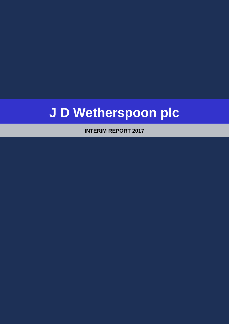# **J D Wetherspoon plc**

**INTERIM REPORT 2017**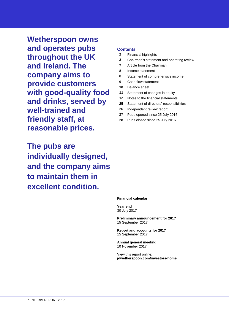**Wetherspoon owns and operates pubs throughout the UK and Ireland. The company aims to provide customers with good-quality food and drinks, served by well-trained and friendly staff, at reasonable prices.**

**The pubs are individually designed, and the company aims to maintain them in excellent condition.**

## **Contents**

- **2** Financial highlights
- **3** Chairman's statement and operating review
- **7** Article from the Chairman
- **8** Income statement
- **8** Statement of comprehensive income
- **9** Cash flow statement
- **10** Balance sheet
- **11** Statement of changes in equity
- **12** Notes to the financial statements
- **25** Statement of directors' responsibilities
- **26** Independent review report
- **27** Pubs opened since 25 July 2016
- **28** Pubs closed since 25 July 2016

### **Financial calendar**

**Year end** 30 July 2017

**Preliminary announcement for 2017** 15 September 2017

**Report and accounts for 2017** 15 September 2017

**Annual general meeting** 10 November 2017

View this report online: **jdwetherspoon.com/investors-home**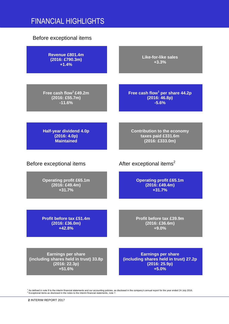## FINANCIAL HIGHLIGHTS

## Before exceptional items

**Revenue £801.4m (2016: £790.3m) +1.4%**

**Free cash flow<sup>1</sup> £49.2m (2016: £55.7m) -11.6%**

**Like-for-like sales +3.3%**

**Free cash flow<sup>1</sup> per share 44.2p (2016: 46.8p) -5.6%**

**Half-year dividend 4.0p (2016: 4.0p) Maintained**

**Contribution to the economy taxes paid £331.6m (2016: £333.0m)**

**Operating profit £65.1m (2016: £49.4m) +31.7%**

Before exceptional items After exceptional items<sup>2</sup>

**Operating profit £65.1m (2016: £49.4m) +31.7%**

**Profit before tax £51.4m (2016: £36.0m) +42.8%**

**Profit before tax £39.9m (2016: £36.6m) +9.0%**

**Earnings per share (including shares held in trust) 33.8p (2016: 22.3p) +51.6%**

**Earnings per share (including shares held in trust) 27.2p (2016: 25.9p) +5.0%**

<sup>1</sup> As defined in note 9 to the interim financial statements and our accounting policies, as disclosed in the company's annual report for the year ended 24 July 2016.<br><sup>2</sup> Exceptional items as disclosed in the notes to the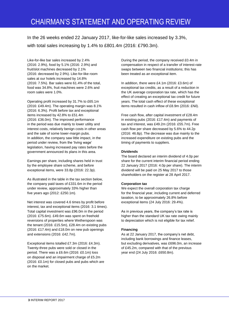In the 26 weeks ended 22 January 2017, like-for-like sales increased by 3.3%, with total sales increasing by 1.4% to £801.4m (2016: £790.3m).

Like-for-like bar sales increased by 2.4% (2016: 2.9%), food by 5.1% (2016: 2.9%) and fruit/slot machines decreased by 2.1% (2016: decreased by 2.9%). Like-for-like room sales at our hotels increased by 14.8% (2016: 7.5%). Bar sales were 61.4% of the total, food was 34.8%, fruit machines were 2.6% and room sales were 1.0%.

Operating profit increased by 31.7% to £65.1m (2016: £49.4m). The operating margin was 8.1% (2016: 6.3%). Profit before tax and exceptional items increased by 42.8% to £51.4m (2016: £36.0m). The improved performance in the period was due mainly to lower utility and interest costs, relatively benign costs in other areas and the sale of some lower-margin pubs. In addition, the company saw little impact, in the period under review, from the 'living wage' legislation, having increased pay rates before the government announced its plans in this area.

Earnings per share, including shares held in trust by the employee share scheme, and before exceptional items, were 33.8p (2016: 22.3p).

As illustrated in the table in the tax section below, the company paid taxes of £331.6m in the period under review, approximately 33% higher than five years ago (2012: £250.1m).

Net interest was covered 4.6 times by profit before interest, tax and exceptional items (2016: 3.1 times). Total capital investment was £96.0m in the period (2016: £75.6m). £49.6m was spent on freehold reversions of properties where Wetherspoon was the tenant (2016: £15.5m), £28.4m on existing pubs (2016: £17.4m) and £18.0m on new pub openings and extensions (2016: £42.7m).

Exceptional items totalled £7.3m (2016: £4.3m). Twenty-three pubs were sold or closed in the period. There was a £6.6m (2016: £0.1m) loss on disposal and an impairment charge of £5.2m (2016: £0.1m) for closed pubs and pubs which are on the market.

During the period, the company received £0.4m in compensation in respect of a transfer of interest-rate swaps between two financial institutions; this has been treated as an exceptional item.

In addition, there were £4.1m (2016: £3.6m) of exceptional tax credits, as a result of a reduction in the UK average corporation tax rate, which has the effect of creating an exceptional tax credit for future years. The total cash effect of these exceptional items resulted in cash inflow of £8.9m (2016: £Nil).

Free cash flow, after capital investment of £28.4m in existing pubs (2016: £17.4m) and payments of tax and interest, was £49.2m (2016: £55.7m). Free cash flow per share decreased by 5.6% to 44.2p (2016: 46.8p). The decrease was due mainly to the increased expenditure on existing pubs and the timing of payments to suppliers.

## **Dividends**

The board declared an interim dividend of 4.0p per share for the current interim financial period ending 22 January 2017 (2016: 4.0p per share). The interim dividend will be paid on 25 May 2017 to those shareholders on the register at 28 April 2017.

## **Corporation tax**

We expect the overall corporation tax charge for the financial year, including current and deferred taxation, to be approximately 26.8% before exceptional items (24 July 2016: 29.4%).

As in previous years, the company's tax rate is higher than the standard UK tax rate owing mainly to depreciation which is not eligible for tax relief.

## **Financing**

As at 22 January 2017, the company's net debt, including bank borrowings and finance leases, but excluding derivatives, was £696.0m, an increase of £45.2m, compared with that of the previous year end (24 July 2016: £650.8m).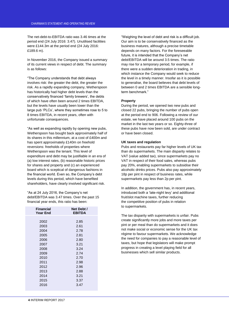The net-debt-to-EBITDA ratio was 3.46 times at the period end (24 July 2016: 3.47). Unutilised facilities were £144.3m at the period end (24 July 2016: £189.6 m).

In November 2016, the Company issued a summary of its current views in respect of debt. The summary is as follows:

"The Company understands that debt always involves risk: the greater the debt, the greater the risk. As a rapidly expanding company, Wetherspoon has historically had higher debt levels than the conservatively financed 'family brewers', the debts of which have often been around 2 times EBITDA, but the levels have usually been lower than the large pub 'PLCs', where they sometimes rose to 5 to 8 times EBITDA, in recent years, often with unfortunate consequences.

"As well as expanding rapidly by opening new pubs, Wetherspoon has bought back approximately half of its shares in this millennium, at a cost of £400m and has spent approximately £140m on freehold reversions: freeholds of properties where Wetherspoon was the tenant. This level of expenditure and debt may be justifiable in an era of (a) low interest rates, (b) reasonable historic prices for shares and property and (c) an experienced board which is sceptical of dangerous fashions in the financial world. Even so, the Company's debt levels during this period, which have benefited shareholders, have clearly involved significant risk.

"As at 24 July 2016, the Company's net debt/EBITDA was 3.47 times. Over the past 15 financial year ends, this ratio has been:

| Financial<br><b>Year End</b> | Net Debt /<br><b>EBITDA</b> |
|------------------------------|-----------------------------|
|                              |                             |
| 2002                         | 2.85                        |
| 2003                         | 2.61                        |
| 2004                         | 2.78                        |
| 2005                         | 2.81                        |
| 2006                         | 2.80                        |
| 2007                         | 3.21                        |
| 2008                         | 3.24                        |
| 2009                         | 2.74                        |
| 2010                         | 2.70                        |
| 2011                         | 2.98                        |
| 2012                         | 2.96                        |
| 2013                         | 2.88                        |
| 2014                         | 3.21                        |
| 2015                         | 3.37                        |
| 2016                         | 3.47                        |
|                              |                             |

"Weighing the level of debt and risk is a difficult job. Our aim is to be conservatively financed as the business matures, although a precise timetable depends on many factors. For the foreseeable future, it is intended that the Company's net debt/EBITDA will be around 3.5 times. The ratio may rise for a temporary period, for example, if there were a sudden deterioration in trading, in which instance the Company would seek to reduce the level in a timely manner. Insofar as it is possible to generalise, the board believes that debt levels of between 0 and 2 times EBITDA are a sensible longterm benchmark."

## **Property**

During the period, we opened two new pubs and closed 22 pubs, bringing the number of pubs open at the period end to 906. Following a review of our estate, we have placed around 100 pubs on the market in the last two years or so. Eighty-three of these pubs have now been sold, are under contract or have been closed.

## **UK taxes and regulation**

Pubs and restaurants pay far higher levels of UK tax than do supermarkets. The main disparity relates to VAT (value added tax), since supermarkets pay no VAT in respect of their food sales, whereas pubs pay 20%, enabling supermarkets to subsidise their alcoholic drinks prices. Pubs also pay approximately 18p per pint in respect of business rates, while supermarkets pay less than 2p per pint.

In addition, the government has, in recent years, introduced both a 'late-night levy' and additional fruit/slot machine taxes, further reducing the competitive position of pubs in relation to supermarkets.

The tax disparity with supermarkets is unfair. Pubs create significantly more jobs and more taxes per pint or per meal than do supermarkets and it does not make social or economic sense for the UK tax régime to favour supermarkets. We acknowledge the need for companies to pay a reasonable level of taxes, but hope that legislators will make prompt progress in creating a level playing field for all businesses which sell similar products.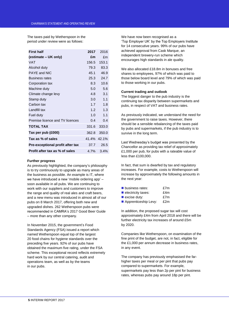The taxes paid by Wetherspoon in the period under review were as follows:

| <b>First half</b>                | 2017  | 2016        |
|----------------------------------|-------|-------------|
| (estimate – UK only)             | £m    | £m          |
| VAT                              | 156.5 | 153.1       |
| Alcohol duty                     | 79.3  | 83.3        |
| PAYE and NIC                     | 45.1  | 46.9        |
| <b>Business rates</b>            | 25.3  | 24.7        |
| Corporation tax                  | 8.3   | 10.6        |
| Machine duty                     | 5.0   | 5.6         |
| Climate change levy              | 4.8   | 3.1         |
| Stamp duty                       | 3.0   | 1.1         |
| Carbon tax                       | 1.7   | 1.8         |
| Landfill tax                     | 1.2   | 1.3         |
| Fuel duty                        | 1.0   | 1.1         |
| Premise licence and TV licences  | 0.4   | 0.4         |
| <b>TOTAL TAX</b>                 | 331.6 | 333.0       |
| Tax per pub (£000)               | 362.8 | 350.0       |
| Tax as % of sales                |       | 41.4% 42.1% |
| Pre-exceptional profit after tax | 37.7  | 26.5        |
| Profit after tax as % of sales   | 4.7%  | 3.4%        |

## **Further progress**

As previously highlighted, the company's philosophy is to try continuously to upgrade as many areas of the business as possible. An example is IT, where we have introduced a new 'mobile ordering app' – soon available in all pubs. We are continuing to work with our suppliers and customers to improve the range and quality of real ales and craft beers, and a new menu was introduced in almost all of our pubs on 8 March 2017, offering both new and upgraded dishes. 262 Wetherspoon pubs were recommended in CAMRA's 2017 Good Beer Guide – more than any other company.

In November 2015, the government's Food Standards Agency (FSA) issued a report which named Wetherspoon equal top of the largest 20 food chains for hygiene standards over the preceding five years. 92% of our pubs have obtained the maximum five rating, under the FSA scheme. This exceptional record reflects extremely hard work by our central catering, audit and operations team, as well as by the teams in our pubs.

We have now been recognised as a 'Top Employer UK' by the Top Employers Institute for 14 consecutive years. 99% of our pubs have achieved approval from Cask Marque, an independent brewery-run scheme which encourages high standards in ale quality.

We also allocated £18.8m in bonuses and free shares to employees, 97% of which was paid to those below board level and 79% of which was paid to those working in our pubs.

## **Current trading and outlook**

The biggest danger to the pub industry is the continuing tax disparity between supermarkets and pubs, in respect of VAT and business rates.

As previously indicated, we understand the need for the government to raise taxes. However, there should be a sensible rebalancing of the taxes paid by pubs and supermarkets, if the pub industry is to survive in the long term.

Last Wednesday's budget was presented by the Chancellor as providing tax relief of approximately £1,000 per pub, for pubs with a rateable value of less than £100,000.

In fact, that sum is dwarfed by tax and regulatory increases. For example, costs to Wetherspoon will increase by approximately the following amounts in the next year:

| business rates:                   | £7m |
|-----------------------------------|-----|
| $\blacksquare$ electricity taxes: | £4m |
| $\blacksquare$ excise duty:       | £7m |
|                                   |     |

**Apprenticeship Levy:** £2m

In addition, the proposed sugar tax will cost approximately £4m from April 2018 and there will be further electricity tax increases of around £5m by 2020.

Companies like Wetherspoon, on examination of the fine print of the budget, are not, in fact, eligible for the £1,000 per annum decrease in business rates, in any event.

The company has previously emphasised the farhigher taxes per meal or per pint that pubs pay compared to supermarkets. For example, supermarkets pay less than 2p per pint for business rates, whereas pubs pay around 18p per pint.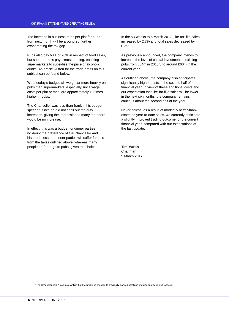The increase in business rates per pint for pubs from next month will be around 2p, further exacerbating the tax gap.

Pubs also pay VAT of 20% in respect of food sales, but supermarkets pay almost nothing, enabling supermarkets to subsidise the price of alcoholic drinks. An article written for the trade press on this subject can be found below.

Wednesday's budget will weigh far more heavily on pubs than supermarkets, especially since wage costs per pint or meal are approximately 10 times higher in pubs.

The Chancellor was less-than-frank in his budget speech<sup>1</sup>, since he did not spell out the duty increases, giving the impression to many that there would be no increase.

In effect, this was a budget for dinner parties, no doubt the preference of the Chancellor and his predecessor – dinner parties will suffer far less from the taxes outlined above, whereas many people prefer to go to pubs, given the choice.

In the six weeks to 5 March 2017, like-for-like sales increased by 2.7% and total sales decreased by 0.2%.

As previously announced, the company intends to increase the level of capital investment in existing pubs from £34m in 2015/6 to around £60m in the current year.

As outlined above, the company also anticipates significantly higher costs in the second half of the financial year. In view of these additional costs and our expectation that like-for-like sales will be lower in the next six months, the company remains cautious about the second half of the year.

Nevertheless, as a result of modestly better-thanexpected year-to-date sales, we currently anticipate a slightly improved trading outcome for the current financial year, compared with our expectations at the last update.

## **Tim Martin**

Chairman 9 March 2017

<sup>1</sup> The Chancellor said, "I can also confirm that I will make no changes to previously planned upratings of duties on alcohol and tobacco."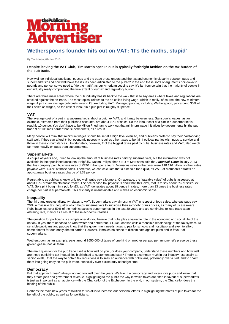

## **Wetherspoons founder hits out on VAT: 'It's the maths, stupid'**

By Tim Martin, 07-Jan-2016

## **Despite leaving the VAT Club, Tim Martin speaks out in typically forthright fashion on the tax burden of the pub trade.**

How well do individual publicans, pubcos and the trade press understand the tax and economic disparity between pubs and supermarkets? And how well have the issues been articulated to the public? In the end these sorts of arguments boil down to pounds and pence, so we need to "do the math", as our American cousins say. It's far from certain that the majority of people in our industry really comprehend the true extent of our tax and regulatory burden.

There are three main areas where the pub industry has its back to the wall- that is to say areas where taxes and regulations are stacked against the on-trade. The most topical relates to the so-called living wage- which is really, of course, the new minimum wage. A pint in an average pub costs around £3, excluding VAT. Managed pubcos, including Wetherspoon, pay around 30% of their sales as wages, so the cost of labour in a pub pint is roughly 90 pence.

## **VAT**

The average cost of a pint in a supermarket is about a quid, ex VAT, and it may be even less. Sainsbury's wages, as an example, extracted from their published accounts, are about 10% of sales. So the labour cost of a pint in a supermarket is roughly 10 pence. You don't have to be Milton Friedman to work out that minimum wage initiatives by governments hit the pub trade 9 or 10 times harder than supermarkets, as a result.

Many people will think that minimum wages should be set at a high level even so, and publicans prefer to pay their hardworking staff well, if they can afford it- but economic necessity requires other taxes to be fair if political parties wish pubs to survive and thrive in these circumstances. Unfortunately, however, 2 of the biggest taxes paid by pubs, business rates and VAT, also weigh far more heavily on pubs than supermarkets.

## **Supermarkets**

A couple of years ago, I tried to look up the amount of business rates paid by supermarkets, but the information was not available in their published accounts. Helpfully, Dalton Philips, then CEO of Morrisons, told the *Financial Times* in July 2013 that his company paid business rates of £240 million per annum. Morrisons sales in that year were £18.116 billion, so their rates payable were 1.32% of those sales. Therefore, we can calculate that a pint sold for a quid, ex VAT, at Morrison's attracts an approximate business rates charge of 1.32 pence.

Regrettably, as publicans know only too well, pubs pay a lot more. On average, the "rateable value" of pubs is assessed at about 12% of "fair maintainable trade". The actual cash tax payable is about half this level, that is to say about 6% of sales, ex VAT. So a pint bought in a pub for £3, ex VAT, generates about 18 pence in rates, more than 13 times the business rates charge per pint in supermarkets. This disparity is unsustainable and makes no economic sense.

### **Inequality**

The third and greatest disparity relates to VAT. Supermarkets pay almost no VAT in respect of food sales, whereas pubs pay 20%, a massive tax inequality which helps supermarkets to subsidise their alcoholic drinks prices, as many of us are aware. Pubs have lost over 50% of their drinks sales to supermarkets in the last 30 years and are continuing to lose trade at an alarming rate, mainly as a result of these economic realities.

The question for politicians is a simple one- do you believe that pubs play a valuable role in the economic and social life of the nation? If yes, there needs to be what writer and entrepreneur Luke Johnson calls a "sensible rebalancing" of the tax system. All sensible publicans and pubcos know that the government needs taxes to pay for schools and hospitals- and even to afford some aircraft for our lonely aircraft carrier. However, it makes no sense to discriminate against pubs and in favour of supermarkets.

Wetherspoon, as an example, pays around £650,000 of taxes of one kind or another per pub per annum- let's preserve these golden geese, not kill them.

The main question for the pub trade itself is how well do you , or does your company, understand these numbers and how well are these punishing tax inequalities highlighted to customers and staff? There is a common myth in our industry, especially at senior levels, that the way to obtain tax reductions is to seek an audience with politicians, preferably over a pint, and to charm them into going easy on the pub trade, especially over excise duty at budget time.

### **Democracy**

But that approach hasn't always worked too well over the years. We live in a democracy and voters love pubs and know that they create jobs and government revenue- highlighting to the public the way in which taxes are tilted in favour of supermarkets is just as important as an audience with the Chancellor of the Exchequer. In the end, in our system, the Chancellor does the bidding of the public.

Perhaps the main new year's resolution for us all is to increase our personal efforts in highlighting the maths of pub taxes for the benefit of the public, as well as for politicians.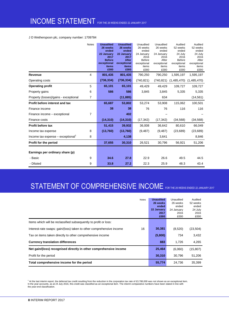## J D Wetherspoon plc, company number: 1709784

|                                       | <b>Notes</b> | <b>Unaudited</b><br>26 weeks<br>ended<br>22 January<br>2017<br><b>Before</b><br>exceptional<br>items<br>£000 | <b>Unaudited</b><br>26 weeks<br>ended<br>22 January<br>2017<br><b>After</b><br>exceptional<br>items<br>£000 | Unaudited<br>26 weeks<br>ended<br>24 January<br>2016<br><b>Before</b><br>exceptional<br>items<br>£000 | Unaudited<br>26 weeks<br>ended<br>24 January<br>2016<br>After<br>exceptional<br>items<br>£000 | Audited<br>52 weeks<br>ended<br>24 July<br>2016<br><b>Before</b><br>exceptional<br>items<br>£000 | Audited<br>52 weeks<br>ended<br>24 July<br>2016<br>After<br>exceptional<br>items<br>£000 |
|---------------------------------------|--------------|--------------------------------------------------------------------------------------------------------------|-------------------------------------------------------------------------------------------------------------|-------------------------------------------------------------------------------------------------------|-----------------------------------------------------------------------------------------------|--------------------------------------------------------------------------------------------------|------------------------------------------------------------------------------------------|
| Revenue                               | 4            | 801,435                                                                                                      | 801,435                                                                                                     | 790,250                                                                                               | 790,250                                                                                       | 1,595,197                                                                                        | 1,595,197                                                                                |
| Operating costs                       |              | (736, 334)                                                                                                   | (736, 334)                                                                                                  | (740, 821)                                                                                            | (740, 821)                                                                                    | (1,485,470)                                                                                      | (1,485,470)                                                                              |
| <b>Operating profit</b>               | 5            | 65,101                                                                                                       | 65,101                                                                                                      | 49,429                                                                                                | 49,429                                                                                        | 109,727                                                                                          | 109,727                                                                                  |
| Property gains                        | 6            | 586                                                                                                          | 586                                                                                                         | 3,845                                                                                                 | 3,845                                                                                         | 5,335                                                                                            | 5,335                                                                                    |
| Property (losses)/gains - exceptional | 7            |                                                                                                              | (11, 885)                                                                                                   |                                                                                                       | 634                                                                                           |                                                                                                  | (14, 561)                                                                                |
| Profit before interest and tax        |              | 65,687                                                                                                       | 53,802                                                                                                      | 53,274                                                                                                | 53,908                                                                                        | 115,062                                                                                          | 100,501                                                                                  |
| Finance income                        |              | 38                                                                                                           | 38                                                                                                          | 76                                                                                                    | 76                                                                                            | 116                                                                                              | 116                                                                                      |
| Finance income - exceptional          | 7            |                                                                                                              | 402                                                                                                         |                                                                                                       |                                                                                               |                                                                                                  |                                                                                          |
| Finance costs                         |              | (14, 310)                                                                                                    | (14, 310)                                                                                                   | (17, 342)                                                                                             | (17, 342)                                                                                     | (34, 568)                                                                                        | (34, 568)                                                                                |
| <b>Profit before tax</b>              |              | 51,415                                                                                                       | 39,932                                                                                                      | 36,008                                                                                                | 36,642                                                                                        | 80,610                                                                                           | 66,049                                                                                   |
| Income tax expense                    | 8            | (13,760)                                                                                                     | (13,760)                                                                                                    | (9, 487)                                                                                              | (9, 487)                                                                                      | (23, 689)                                                                                        | (23, 689)                                                                                |
| Income tax expense - exceptional      | 8            |                                                                                                              | 4,138                                                                                                       |                                                                                                       | 3,641                                                                                         |                                                                                                  | 8,846                                                                                    |
| Profit for the period                 |              | 37,655                                                                                                       | 30,310                                                                                                      | 26,521                                                                                                | 30,796                                                                                        | 56,921                                                                                           | 51,206                                                                                   |
| Earnings per ordinary share (p)       |              |                                                                                                              |                                                                                                             |                                                                                                       |                                                                                               |                                                                                                  |                                                                                          |
| - Basic                               | 9            | 34.6                                                                                                         | 27.8                                                                                                        | 22.9                                                                                                  | 26.6                                                                                          | 49.5                                                                                             | 44.5                                                                                     |
| - Diluted                             | 9            | 33.8                                                                                                         | 27.2                                                                                                        | 22.3                                                                                                  | 25.9                                                                                          | 48.3                                                                                             | 43.4                                                                                     |

## STATEMENT OF COMPREHENSIVE INCOME FOR THE 26 WEEKS ENDED 22 JANUARY 2017

| Notes                                                                      | <b>Unaudited</b><br>26 weeks<br>ended<br>22 January<br>2017<br>£000 | Unaudited<br>26 weeks<br>ended<br>24 January<br>2016<br>£000 | Audited<br>52 weeks<br>ended<br>24 July<br>2016<br>£000 |
|----------------------------------------------------------------------------|---------------------------------------------------------------------|--------------------------------------------------------------|---------------------------------------------------------|
| Items which will be reclassified subsequently to profit or loss:           |                                                                     |                                                              |                                                         |
| Interest-rate swaps: gain/(loss) taken to other comprehensive income<br>16 | 30,381                                                              | (8,520)                                                      | (23, 504)                                               |
| Tax on items taken directly to other comprehensive income                  | (5,800)                                                             | 734                                                          | 3,432                                                   |
| <b>Currency translation differences</b>                                    | 883                                                                 | 1.726                                                        | 4,265                                                   |
| Net gain/(loss) recognised directly in other comprehensive income          | 25,464                                                              | (6,060)                                                      | (15, 807)                                               |
| Profit for the period                                                      | 30,310                                                              | 30.796                                                       | 51,206                                                  |
| Total comprehensive income for the period                                  | 55,774                                                              | 24.736                                                       | 35,399                                                  |

<sup>1</sup> At the last interim report, the deferred tax credit resulting from the reduction in the corporation tax rate of £3,786,000 was not shown as an exceptional item.<br>In the year accounts, as at 24 July 2016, this credit was the year-end classification.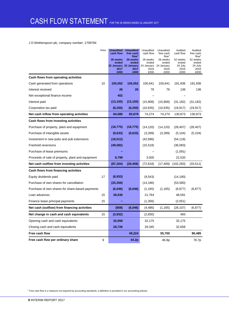## J D Wetherspoon plc, company number: 1709784

|                                                   | Notes | <b>Unaudited</b><br>cash flow<br>26 weeks<br>ended<br>2017<br>£000 | <b>Unaudited</b><br>free cash<br>flow <sup>1</sup><br>26 weeks<br>ended<br>22 January 22 January<br>2017<br>£000 | Unaudited<br>cash flow<br>26 weeks<br>ended<br>24 January<br>2016<br>£000 | Unaudited<br>free cash<br>flow <sup>1</sup><br>26 weeks<br>ended<br>24 January<br>2016<br>£000 | Audited<br>cash flow<br>52 weeks<br>ended<br>24 July<br>2016<br>£000 | Audited<br>free cash<br>flow <sup>1</sup><br>52 weeks<br>ended<br>24 July<br>2016<br>£000 |
|---------------------------------------------------|-------|--------------------------------------------------------------------|------------------------------------------------------------------------------------------------------------------|---------------------------------------------------------------------------|------------------------------------------------------------------------------------------------|----------------------------------------------------------------------|-------------------------------------------------------------------------------------------|
| Cash flows from operating activities              |       |                                                                    |                                                                                                                  |                                                                           |                                                                                                |                                                                      |                                                                                           |
| Cash generated from operations                    | 10    | 105,052                                                            | 105,052                                                                                                          | 100,641                                                                   | 100,641                                                                                        | 181,836                                                              | 181,836                                                                                   |
| Interest received                                 |       | 26                                                                 | 26                                                                                                               | 76                                                                        | 76                                                                                             | 136                                                                  | 136                                                                                       |
| Net exceptional finance income                    |       | 402                                                                |                                                                                                                  |                                                                           |                                                                                                |                                                                      |                                                                                           |
| Interest paid                                     |       | (13, 150)                                                          | (13, 150)                                                                                                        | (15,808)                                                                  | (15,808)                                                                                       | (31, 182)                                                            | (31, 182)                                                                                 |
| Corporation tax paid                              |       | (8, 250)                                                           | (8, 250)                                                                                                         | (10, 635)                                                                 | (10, 635)                                                                                      | (19, 917)                                                            | (19, 917)                                                                                 |
| Net cash inflow from operating activities         |       | 84,080                                                             | 83,678                                                                                                           | 74,274                                                                    | 74,274                                                                                         | 130,873                                                              | 130,873                                                                                   |
| Cash flows from investing activities              |       |                                                                    |                                                                                                                  |                                                                           |                                                                                                |                                                                      |                                                                                           |
| Purchase of property, plant and equipment         |       | (18, 775)                                                          | (18, 775)                                                                                                        | (14, 120)                                                                 | (14, 120)                                                                                      | (28, 407)                                                            | (28, 407)                                                                                 |
| Purchase of intangible assets                     |       | (9,633)                                                            | (9,633)                                                                                                          | (3,289)                                                                   | (3,289)                                                                                        | (5, 104)                                                             | (5, 104)                                                                                  |
| Investment in new pubs and pub extensions         |       | (18,012)                                                           |                                                                                                                  | (42, 696)                                                                 |                                                                                                | (54, 118)                                                            |                                                                                           |
| Freehold reversions                               |       | (49, 582)                                                          |                                                                                                                  | (15, 518)                                                                 |                                                                                                | (36,083)                                                             |                                                                                           |
| Purchase of lease premiums                        |       |                                                                    |                                                                                                                  |                                                                           |                                                                                                | (1,091)                                                              |                                                                                           |
| Proceeds of sale of property, plant and equipment |       | 8,798                                                              |                                                                                                                  | 3,005                                                                     |                                                                                                | 22,520                                                               |                                                                                           |
| Net cash outflow from investing activities        |       | (87, 204)                                                          | (28, 408)                                                                                                        | (72, 618)                                                                 | (17, 409)                                                                                      | (102, 283)                                                           | (33, 511)                                                                                 |
| Cash flows from financing activities              |       |                                                                    |                                                                                                                  |                                                                           |                                                                                                |                                                                      |                                                                                           |
| Equity dividends paid                             | 17    | (8,933)                                                            |                                                                                                                  | (9,543)                                                                   |                                                                                                | (14, 190)                                                            |                                                                                           |
| Purchase of own shares for cancellation           |       | (25, 359)                                                          |                                                                                                                  | (14, 186)                                                                 |                                                                                                | (53, 580)                                                            |                                                                                           |
| Purchase of own shares for share-based payments   |       | (6,046)                                                            | (6,046)                                                                                                          | (1, 165)                                                                  | (1, 165)                                                                                       | (6, 877)                                                             | (6, 877)                                                                                  |
| Loan advances                                     | 15    | 39,530                                                             |                                                                                                                  | 21,764                                                                    |                                                                                                | 48,591                                                               |                                                                                           |
| Finance lease principal payments                  | 15    |                                                                    |                                                                                                                  | (1,356)                                                                   |                                                                                                | (2,051)                                                              |                                                                                           |
| Net cash (outflow) from financing activities      |       | (808)                                                              | (6,046)                                                                                                          | (4, 486)                                                                  | (1, 165)                                                                                       | (28, 107)                                                            | (6, 877)                                                                                  |
| Net change in cash and cash equivalents           | 15    | (3,932)                                                            |                                                                                                                  | (2,830)                                                                   |                                                                                                | 483                                                                  |                                                                                           |
| Opening cash and cash equivalents                 |       | 32,658                                                             |                                                                                                                  | 32,175                                                                    |                                                                                                | 32,175                                                               |                                                                                           |
| Closing cash and cash equivalents                 |       | 28,726                                                             |                                                                                                                  | 29,345                                                                    |                                                                                                | 32,658                                                               |                                                                                           |
| Free cash flow                                    |       |                                                                    | 49,224                                                                                                           |                                                                           | 55,700                                                                                         |                                                                      | 90,485                                                                                    |
| Free cash flow per ordinary share                 | 9     |                                                                    | 44.2p                                                                                                            |                                                                           | 46.8p                                                                                          |                                                                      | 76.7p                                                                                     |

<sup>1</sup> Free cash flow is a measure not required by accounting standards; a definition is provided in our accounting policies.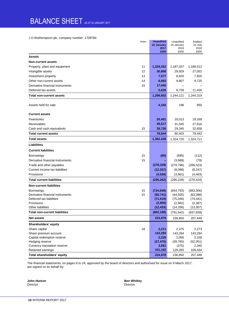## BALANCE SHEET AS AT 22 JANUARY 2017

J D Wetherspoon plc, company number: 1709784

| Notes                                  | <b>Unaudited</b> | Unaudited    | Audited         |
|----------------------------------------|------------------|--------------|-----------------|
|                                        | 22 January       | 24 January   | 24 July<br>2016 |
|                                        | 2017<br>£000     | 2016<br>£000 | £000            |
| <b>Assets</b>                          |                  |              |                 |
| <b>Non-current assets</b>              |                  |              |                 |
| 11<br>Property, plant and equipment    | 1,229,252        | 1,187,037    | 1,188,512       |
| 12<br>Intangible assets                | 30,809           | 29,929       | 27,051          |
| Investment property<br>13              | 7,577            | 8,620        | 7,605           |
| Other non-current assets<br>14         | 8,693            | 9,807        | 9,725           |
| Derivative financial instruments<br>15 | 17,645           |              |                 |
| Deferred tax assets                    | 5,626            | 8,728        | 11,426          |
| <b>Total non-current assets</b>        | 1,299,602        | 1,244,121    | 1,244,319       |
|                                        |                  |              |                 |
| Assets held for sale                   | 4,182            | 196          | 950             |
| <b>Current assets</b>                  |                  |              |                 |
| Inventories                            | 20,401           | 20,013       | 19,168          |
| Receivables                            | 29,517           | 31,045       | 27,616          |
| 15<br>Cash and cash equivalents        | 28,726           | 29,345       | 32,658          |
| <b>Total current assets</b>            | 78,644           | 80,403       | 79,442          |
| Total assets                           | 1,382,428        | 1,324,720    | 1,324,711       |
| Liabilities                            |                  |              |                 |
| <b>Current liabilities</b>             |                  |              |                 |
| 15<br>Borrowings                       | (80)             | (695)        | (112)           |
| 15<br>Derivative financial instruments |                  | (3,988)      | (79)            |
| Trade and other payables               | (278, 329)       | (279, 796)   | (266, 523)      |
| Current income tax liabilities         | (12, 327)        | (8,088)      | (8, 247)        |
| Provisions                             | (4, 526)         | (3,661)      | (4, 463)        |
| <b>Total current liabilities</b>       | (295, 262)       | (296, 228)   | (279, 424)      |
| <b>Non-current liabilities</b>         |                  |              |                 |
| 15<br>Borrowings                       | (724, 645)       | (654, 793)   | (683, 306)      |
| 15<br>Derivative financial instruments | (50, 741)        | (44, 505)    | (63, 398)       |
| Deferred tax liabilities               | (71, 519)        | (75,046)     | (74, 441)       |
| Provisions                             | (2,850)          | (2,962)      | (3, 387)        |
| Other liabilities                      | (12, 433)        | (14, 336)    | (13, 307)       |
| <b>Total non-current liabilities</b>   | (862, 188)       | (791, 642)   | (837, 839)      |
| <b>Net assets</b>                      | 224,978          | 236,850      | 207,448         |
| Shareholders' equity                   |                  |              |                 |
| 18<br>Share capital                    | 2,211            | 2,375        | 2,273           |
| Share premium account                  | 143,294          | 143,294      | 143,294         |
| Capital redemption reserve             | 2,220            | 2,056        | 2,158           |
| Hedging reserve                        | (27, 470)        | (39, 765)    | (52,051)        |
| Currency translation reserve           | 3,561            | (375)        | 2,340           |
| Retained earnings                      | 101,162          | 129,265      | 109,434         |
| Total shareholders' equity             | 224,978          | 236,850      | 207,448         |

The financial statements, on pages 8 to 24, approved by the board of directors and authorised for issue on 9 March 2017, are signed on its behalf by:

Director Director

**John Hutson Ben Whitley**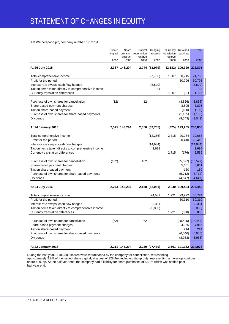## J D Wetherspoon plc, company number: 1709784

|                                                                                         | Share<br>capital | Share<br>account | Capital<br>premium redemption<br>reserve | Hedging<br>reserve | Currency<br>translation<br>reserve | Retained<br>earnings  | Total              |  |
|-----------------------------------------------------------------------------------------|------------------|------------------|------------------------------------------|--------------------|------------------------------------|-----------------------|--------------------|--|
|                                                                                         | £000             | £000             | £000                                     | £000               | £000                               | £000                  | £000               |  |
| At 26 July 2015                                                                         |                  | 2,387 143,294    |                                          | 2,044 (31,979)     |                                    | $(2, 182)$ 109,329    | 222,893            |  |
| Total comprehensive income                                                              |                  |                  |                                          | (7,786)            | 1,807                              | 30,715                | 24,736             |  |
| Profit for the period                                                                   |                  |                  |                                          |                    |                                    | 30,796                | 30,796             |  |
| Interest-rate swaps: cash flow hedges                                                   |                  |                  |                                          | (8,520)            |                                    |                       | (8,520)            |  |
| Tax on items taken directly to comprehensive income<br>Currency translation differences |                  |                  |                                          | 734                | 1,807                              | (81)                  | 734<br>1,726       |  |
|                                                                                         |                  |                  |                                          |                    |                                    |                       |                    |  |
| Purchase of own shares for cancellation                                                 | (12)             |                  | 12                                       |                    |                                    | (3,866)               | (3,866)            |  |
| Share-based payment charges                                                             |                  |                  |                                          |                    |                                    | 3,895                 | 3,895              |  |
| Tax on share-based payment                                                              |                  |                  |                                          |                    |                                    | (100)                 | (100)              |  |
| Purchase of own shares for share-based payments                                         |                  |                  |                                          |                    |                                    | (1, 165)              | (1, 165)           |  |
| <b>Dividends</b>                                                                        |                  |                  |                                          |                    |                                    | (9,543)               | (9,543)            |  |
| <b>At 24 January 2016</b>                                                               |                  | 2,375 143,294    |                                          | 2,056 (39,765)     |                                    | (375) 129,265 236,850 |                    |  |
| Total comprehensive income                                                              |                  |                  |                                          | (12, 286)          | 2,715                              | 20,234                | 10,663             |  |
| Profit for the period                                                                   |                  |                  |                                          |                    |                                    | 20,410                | 20,410             |  |
| Interest-rate swaps: cash flow hedges                                                   |                  |                  |                                          | (14, 984)          |                                    |                       | (14, 984)          |  |
| Tax on items taken directly to comprehensive income                                     |                  |                  |                                          | 2,698              |                                    |                       | 2,698              |  |
| Currency translation differences                                                        |                  |                  |                                          |                    | 2,715                              | (176)                 | 2,539              |  |
| Purchase of own shares for cancellation                                                 |                  |                  | 102                                      |                    |                                    |                       |                    |  |
| Share-based payment charges                                                             | (102)            |                  |                                          |                    |                                    | (35, 527)<br>5,661    | (35, 527)<br>5,661 |  |
| Tax on share-based payment                                                              |                  |                  |                                          |                    |                                    | 160                   | 160                |  |
| Purchase of own shares for share-based payments                                         |                  |                  |                                          |                    |                                    | (5, 712)              | (5, 712)           |  |
| <b>Dividends</b>                                                                        |                  |                  |                                          |                    |                                    | (4,647)               | (4,647)            |  |
| At 24 July 2016                                                                         |                  | 2,273 143,294    |                                          | 2,158 (52,051)     |                                    | 2,340 109,434 207,448 |                    |  |
|                                                                                         |                  |                  |                                          |                    |                                    |                       |                    |  |
| Total comprehensive income                                                              |                  |                  |                                          | 24,581             | 1,221                              | 29,972                | 55,774             |  |
| Profit for the period                                                                   |                  |                  |                                          |                    |                                    | 30,310                | 30,310             |  |
| Interest-rate swaps: cash flow hedges                                                   |                  |                  |                                          | 30,381             |                                    |                       | 30,381             |  |
| Tax on items taken directly to comprehensive income                                     |                  |                  |                                          | (5,800)            |                                    |                       | (5,800)            |  |
| Currency translation differences                                                        |                  |                  |                                          |                    | 1,221                              | (338)                 | 883                |  |
| Purchase of own shares for cancellation                                                 | (62)             |                  | 62                                       |                    |                                    | (28, 445)             | (28, 445)          |  |
| Share-based payment charges                                                             |                  |                  |                                          |                    |                                    | 4,966                 | 4,966              |  |
| Tax on share-based payment                                                              |                  |                  |                                          |                    |                                    | 214                   | 214                |  |
| Purchase of own shares for share-based payments                                         |                  |                  |                                          |                    |                                    | (6,046)               | (6,046)            |  |
| Dividends                                                                               |                  |                  |                                          |                    |                                    | (8,933)               | (8,933)            |  |
|                                                                                         |                  |                  |                                          |                    |                                    |                       |                    |  |
| At 22 January 2017                                                                      |                  | 2,211 143,294    |                                          | 2,220 (27,470)     |                                    | 3,561 101,162 224,978 |                    |  |

During the half year, 3,106,300 shares were repurchased by the company for cancellation, representing approximately 2.8% of the issued share capital, at a cost of £28.4m, including stamp duty, representing an average cost per share of 916p. At the half year end, the company had a liability for share purchases of £3.1m which was settled post half year end.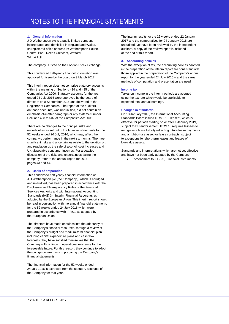## **1. General information**

J D Wetherspoon plc is a public limited company, incorporated and domiciled in England and Wales. Its registered office address is: Wetherspoon House, Central Park, Reeds Crescent, Watford, WD24 4QL

The company is listed on the London Stock Exchange.

This condensed half-yearly financial information was approved for issue by the board on 9 March 2017.

This interim report does not comprise statutory accounts within the meaning of Sections 434 and 435 of the Companies Act 2006. Statutory accounts for the year ended 24 July 2016 were approved by the board of directors on 8 September 2016 and delivered to the Registrar of Companies. The report of the auditors, on those accounts, was unqualified, did not contain an emphasis-of-matter paragraph or any statement under Sections 498 to 502 of the Companies Act 2006.

There are no changes to the principal risks and uncertainties as set out in the financial statements for the 52 weeks ended 26 July 2016, which may affect the company's performance in the next six months. The most significant risks and uncertainties relate to the taxation on, and regulation of, the sale of alcohol, cost increases and UK disposable consumer incomes. For a detailed discussion of the risks and uncertainties facing the company, refer to the annual report for 2016, pages 43 and 44.

## **2. Basis of preparation**

This condensed half-yearly financial information of J D Wetherspoon plc (the 'Company'), which is abridged and unaudited, has been prepared in accordance with the Disclosure and Transparency Rules of the Financial Services Authority and with International Accounting Standards (IAS) 34, Interim Financial Reporting, as adopted by the European Union. This interim report should be read in conjunction with the annual financial statements for the 52 weeks ended 24 July 2016 which were prepared in accordance with IFRSs, as adopted by the European Union.

The directors have made enquiries into the adequacy of the Company's financial resources, through a review of the Company's budget and medium-term financial plan, including capital expenditure plans and cash flow forecasts; they have satisfied themselves that the Company will continue in operational existence for the foreseeable future. For this reason, they continue to adopt the going-concern basis in preparing the Company's financial statements.

The financial information for the 52 weeks ended 24 July 2016 is extracted from the statutory accounts of the Company for that year.

The interim results for the 26 weeks ended 22 January 2017 and the comparatives for 24 January 2016 are unaudited, yet have been reviewed by the independent auditors. A copy of the review report is included at the end of this report.

## **3. Accounting policies**

With the exception of tax, the accounting policies adopted in the preparation of the interim report are consistent with those applied in the preparation of the Company's annual report for the year ended 24 July 2016 – and the same methods of computation and presentation are used.

## **Income tax**

Taxes on income in the interim periods are accrued using the tax rate which would be applicable to expected total annual earnings.

## **Changes in standards**

On 13 January 2016, the International Accounting Standards Board issued IFRS 16 – 'leases', which is effective for periods starting on or after 1 January 2019, subject to EU endorsement. IFRS 16 requires lessees to recognise a lease liability reflecting future lease payments and a right-of-use asset for lease contracts, subject to exceptions for short-term leases and leases of low-value assets.

Standards and interpretations which are not yet effective and have not been early adopted by the Company:

Amendment to IFRS 9, 'Financial Instruments'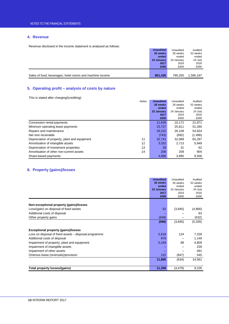## **4. Revenue**

Revenue disclosed in the income statement is analysed as follows:

|                                                          | <b>Unaudited</b> | Unaudited  | Audited   |
|----------------------------------------------------------|------------------|------------|-----------|
|                                                          | 26 weeks         | 26 weeks   | 52 weeks  |
|                                                          | ended            | ended      | ended     |
|                                                          | 22 January       | 24 January | 24 July   |
|                                                          | 2017             | 2016       | 2016      |
|                                                          | £000             | £000       | £000      |
|                                                          |                  |            |           |
| Sales of food, beverages, hotel rooms and machine income | 801.435          | 790.250    | 1,595,197 |

## **5. Operating profit – analysis of costs by nature**

This is stated after charging/(crediting):

| <b>Notes</b>                                        | <b>Unaudited</b> | Unaudited  | Audited  |
|-----------------------------------------------------|------------------|------------|----------|
|                                                     | 26 weeks         | 26 weeks   | 52 weeks |
|                                                     | ended            | ended      | ended    |
|                                                     | 22 January       | 24 January | 24 July  |
|                                                     | 2017             | 2016       | 2016     |
|                                                     | £000             | £000       | £000     |
| Concession rental payments                          | 11.639           | 10.172     | 21,971   |
| Minimum operating lease payments                    | 23.727           | 25.811     | 51,260   |
| Repairs and maintenance                             | 29,232           | 26,109     | 54,924   |
| Net rent receivable                                 | (743)            | (692)      | (1,496)  |
| 11<br>Depreciation of property, plant and equipment | 32.741           | 32.089     | 65,297   |
| 12<br>Amortisation of intangible assets             | 3,332            | 2,713      | 5,949    |
| Depreciation of investment properties<br>13         | 28               | 31         | 62       |
| Amortisation of other non-current assets<br>14      | 206              | 209        | 904      |
| Share-based payments                                | 4,966            | 3,895      | 9,556    |

## **6. Property (gains)/losses**

|                                                       | <b>Unaudited</b> | Unaudited  | Audited  |
|-------------------------------------------------------|------------------|------------|----------|
|                                                       | 26 weeks         | 26 weeks   | 52 weeks |
|                                                       | ended            | ended      | ended    |
|                                                       | 22 January       | 24 January | 24 July  |
|                                                       | 2017             | 2016       | 2016     |
|                                                       | £000             | £000       | £000     |
|                                                       |                  |            |          |
| Non-exceptional property (gains)/losses               |                  |            |          |
| Loss/(gain) on disposal of fixed assets               | 62               | (3,845)    | (4,866)  |
| Additional costs of disposal                          |                  |            | 63       |
| Other property gains                                  | (648)            |            | (532)    |
|                                                       | (586)            | (3,845)    | (5, 335) |
|                                                       |                  |            |          |
| <b>Exceptional property (gains)/losses</b>            |                  |            |          |
| Loss on disposal of fixed assets – disposal programme | 5,618            | 124        | 7,328    |
| Additional costs of disposal                          | 976              |            | 1,149    |
| Impairment of property, plant and equipment           | 5,169            | 89         | 4,809    |
| Impairment of intangible assets                       |                  |            | 239      |
| Impairment of other assets                            |                  |            | 491      |
| Onerous lease (reversals)/provision                   | 122              | (847)      | 545      |
|                                                       | 11,885           | (634)      | 14,561   |
|                                                       |                  |            |          |
| Total property losses/(gains)                         | 11,299           | (4, 479)   | 9,226    |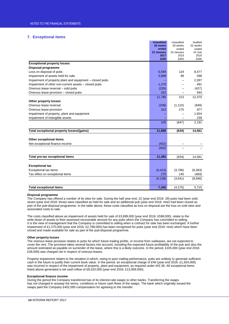## **7. Exceptional items**

|                                                          | <b>Unaudited</b><br>26 weeks | Unaudited<br>26 weeks | Audited<br>52 weeks |
|----------------------------------------------------------|------------------------------|-----------------------|---------------------|
|                                                          | ended                        | ended                 | ended               |
|                                                          | 22 January                   | 24 January            | 24 July             |
|                                                          | 2017                         | 2016                  | 2016                |
|                                                          | £000                         | £000                  | £000                |
| <b>Exceptional property losses</b><br>Disposal programme |                              |                       |                     |
| Loss on disposal of pubs                                 | 6,594                        | 124                   | 8,477               |
| Impairment of assets held for sale                       | 3,899                        | 89                    | 598                 |
| Impairment of property plant and equipment – closed pubs |                              |                       | 2,287               |
| Impairment of other non-current assets - closed pubs     | 1,270                        |                       | 491                 |
| Onerous lease reversal - sold pubs                       | (235)                        |                       | (427)               |
| Onerous lease provision - closed pubs                    | 252                          |                       | 944                 |
|                                                          | 11,780                       | 213                   | 12,370              |
| Other property losses                                    |                              |                       |                     |
| Onerous lease reversal                                   | (208)                        | (1, 122)              | (949)               |
| Onerous lease provision                                  | 313                          | 275                   | 977                 |
| Impairment of property, plant and equipment              |                              |                       | 1,924               |
| Impairment of intangible assets                          |                              |                       | 239                 |
|                                                          | 105                          | (847)                 | 2,191               |
| Total exceptional property losses/(gains)                | 11,885                       | (634)                 | 14,561              |
| Other exceptional items                                  |                              |                       |                     |
| Net exceptional finance income                           | (402)                        |                       |                     |
|                                                          | (402)                        |                       |                     |
| Total pre-tax exceptional items                          | 11,483                       | (634)                 | 14,561              |
|                                                          |                              |                       |                     |
| <b>Exceptional tax</b>                                   |                              |                       |                     |
| Exceptional tax items                                    | (4, 413)                     | (3,786)               | (8, 363)            |
| Tax effect on exceptional items                          | 275                          | 145                   | (483)               |
|                                                          | (4, 138)                     | (3,641)               | (8, 846)            |
| <b>Total exceptional items</b>                           | 7,345                        | (4,275)               | 5.715               |

### **Disposal programme**

The Company has offered a number of its sites for sale. During the half year end, 22 (year end 2016: 29) pubs had been sold, seven (year end 2016: three) were classified as held for sale and an additional pub (year end 2016: nine) had been closed as part of the pub-disposal programme. In the table above, those costs classified as loss on disposal are the loss on sold sites and associated costs to sale.

The costs classified above as impairment of assets held for sale of £3,899,000 (year end 2016: £598,000), relate to the write-down of assets to their assessed recoverable amount for any pubs which the Company has committed to selling. It is the view of management that the Company is committed to selling when a contract for sale has been exchanged. A further impairment of £1,270,000 (year end 2016: £2,788,000) has been recognised for pubs (year end 2016: nine) which have been closed and made available for sale as part of the pub-disposal programme.

### **Other property losses**

The onerous lease provision relates to pubs for which future trading profits, or income from subleases, are not expected to cover the rent. The provision takes several factors into account, including the expected future profitability of the pub and also the amount estimated as payable on surrender of the lease, where this is a likely outcome. In the period, £105,000 (year end 2016: £28,000) was charged net in respect of onerous leases.

Property impairment relates to the situation in which, owing to poor trading performance, pubs are unlikely to generate sufficient cash in the future to justify their current book value. In the period, an exceptional charge of £Nil (year end 2016: £1,924,000) was incurred in respect of the impairment of property, plant and equipment, as required under IAS 36. All exceptional items listed above generated a net cash inflow of £8,520,000 (year end 2016: £13,959,000).

### **Exceptional finance income**

During the period the Company transferred two of its interest-rate swaps to other banks. Transferring the swaps has not changed in anyway the terms, conditions or future cash flows of the swaps. The bank which originally issued the swaps paid the Company £402,000 compensation for agreeing to the transfer.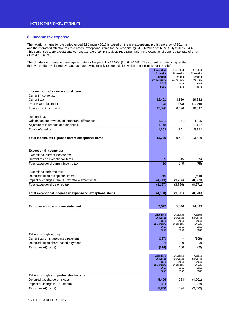## **8. Income tax expense**

The taxation charge for the period ended 22 January 2017 is based on the pre-exceptional profit before tax of £51.4m and the estimated effective tax rate before exceptional items for the year ending 24 July 2017 of 26.8% (July 2016: 29.4%). This comprises a pre-exceptional current tax rate of 24.1% (July 2016: 22.8%) and a pre-exceptional deferred tax rate of 2.7% (July 2016: 6.6%).

The UK standard weighted average tax rate for the period is 19.67% (2016: 20.0%). The current tax rate is higher than the UK standard weighted average tax rate, owing mainly to depreciation which is not eligible for tax relief.

|                                                           | <b>Unaudited</b>             | Unaudited             | Audited             |
|-----------------------------------------------------------|------------------------------|-----------------------|---------------------|
|                                                           | 26 weeks                     | 26 weeks              | 52 weeks            |
|                                                           | ended                        | ended                 | ended               |
|                                                           | 22 January<br>2017           | 24 January            | 24 July             |
|                                                           | £000                         | 2016<br>£000          | 2016<br>£000        |
| Income tax before exceptional items                       |                              |                       |                     |
| Current income tax:                                       |                              |                       |                     |
| Current tax                                               | 12,491                       | 8,559                 | 19,382              |
| Prior year adjustment                                     | (93)                         | (33)                  | (1,035)             |
| Total current income tax                                  | 12,398                       | 8,526                 | 18,347              |
|                                                           |                              |                       |                     |
| Deferred tax:                                             |                              |                       |                     |
| Origination and reversal of temporary differences         | 1,601                        | 961                   | 4,205               |
| Adjustment in respect of prior period                     | (239)                        |                       | 1,137               |
| Total deferred tax                                        | 1,362                        | 961                   | 5,342               |
|                                                           |                              |                       |                     |
| Total income tax expense before exceptional items         | 13,760                       | 9,487                 | 23,689              |
|                                                           |                              |                       |                     |
|                                                           |                              |                       |                     |
| <b>Exceptional income tax</b>                             |                              |                       |                     |
| Exceptional current income tax:                           |                              |                       |                     |
| Current tax on exceptional items                          | 59                           | 145                   | (75)                |
| Total exceptional current income tax                      | 59                           | 145                   | (75)                |
|                                                           |                              |                       |                     |
| Exceptional deferred tax:                                 |                              |                       |                     |
| Deferred tax on exceptional items                         | 216                          |                       | (408)               |
| Impact of change in the UK tax rate - exceptional         | (4, 413)                     | (3,786)               | (8, 363)            |
| Total exceptional deferred tax                            | (4, 197)                     | (3,786)               | (8,771)             |
|                                                           |                              |                       |                     |
| Total exceptional income tax expense on exceptional items | (4, 138)                     | (3,641)               | (8, 846)            |
|                                                           |                              |                       |                     |
|                                                           |                              |                       |                     |
| Tax charge in the income statement                        | 9,622                        | 5,846                 | 14,843              |
|                                                           |                              |                       |                     |
|                                                           | <b>Unaudited</b><br>26 weeks | Unaudited<br>26 weeks | Audited<br>52 weeks |
|                                                           | ended                        | ended                 | ended               |
|                                                           | 22 January                   | 24 January            | 24 July             |
|                                                           | 2017<br>£000                 | 2016<br>£000          | 2016<br>£000        |
| Taken through equity                                      |                              |                       |                     |
| Current tax on share-based payment                        | (127)                        |                       | (159)               |
| Deferred tax on share-based payment                       | (87)                         | 100                   | 99                  |
| Tax charge/(credit)                                       | (214)                        | 100                   | (60)                |
|                                                           |                              |                       |                     |
|                                                           | <b>Unaudited</b>             | Unaudited             | Audited             |
|                                                           | 26 weeks                     | 26 weeks              | 52 weeks            |
|                                                           | ended                        | ended                 | ended               |
|                                                           | 22 January<br>2017           | 24 January<br>2016    | 24 July<br>2016     |
|                                                           | £000                         | £000                  | £000                |
| Taken through comprehensive income                        |                              |                       |                     |
| Deferred tax charge on swaps                              | 5,496                        | 734                   | (4,701)             |
| Impact of change in UK tax rate                           | 304                          |                       | 1,269               |
| Tax charge/(credit)                                       | 5,800                        | 734                   | (3, 432)            |
|                                                           |                              |                       |                     |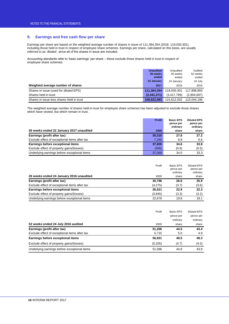## **9. Earnings and free cash flow per share**

Earnings per share are based on the weighted average number of shares in issue of 111,364,354 (2016: 119,030,301), including those held in trust in respect of employee share schemes. Earnings per share, calculated on this basis, are usually referred to as 'diluted', since all of the shares in issue are included.

Accounting standards refer to 'basic earnings' per share – these exclude those shares held in trust in respect of employee share schemes.

|                                           | <b>Unaudited</b><br>26 weeks<br>ended | Unaudited<br>26 weeks<br>ended | Audited<br>52 weeks<br>ended |
|-------------------------------------------|---------------------------------------|--------------------------------|------------------------------|
|                                           | 22 January                            | 24 January                     | 24 July                      |
| Weighted average number of shares         | 2017                                  | 2016                           | 2016                         |
| Shares in issue (used for diluted EPS)    | 111,364,354                           | 119.030.301                    | 117,898,893                  |
| Shares held in trust                      | (2.441.371)                           | (3,417,799)                    | (2,854,697)                  |
| Shares in issue less shares held in trust | 108.922.983                           | 115.612.502                    | 115.044.196                  |

The weighted average number of shares held in trust for employee share schemes has been adjusted to exclude those shares which have vested, but which remain in trust.

|                                               | <b>Profit</b> | <b>Basic EPS</b> | <b>Diluted EPS</b> |
|-----------------------------------------------|---------------|------------------|--------------------|
|                                               |               | pence per        | pence per          |
|                                               |               | ordinary         | ordinary           |
| 26 weeks ended 22 January 2017 unaudited      | £000          | share            | share              |
| Earnings (profit after tax)                   | 30,310        | 27.8             | 27.2               |
| Exclude effect of exceptional items after tax | 7.345         | 6.8              | 6.6                |
| Earnings before exceptional items             | 37.655        | 34.6             | 33.8               |
| Exclude effect of property gains/(losses)     | (586)         | (0.6)            | (0.5)              |
| Underlying earnings before exceptional items  | 37,069        | 34.0             | 33.3               |

|                                               | Profit  | Basic EPS<br>pence per<br>ordinary | Diluted EPS<br>pence per<br>ordinary |
|-----------------------------------------------|---------|------------------------------------|--------------------------------------|
| 26 weeks ended 24 January 2016 unaudited      | £000    | share                              | share                                |
| Earnings (profit after tax)                   | 30.796  | 26.6                               | 25.9                                 |
| Exclude effect of exceptional items after tax | (4,275) | (3.7)                              | (3.6)                                |
| Earnings before exceptional items             | 26.521  | 22.9                               | 22.3                                 |
| Exclude effect of property gains/(losses)     | (3,845) | (3.3)                              | (3.2)                                |
| Underlying earnings before exceptional items  | 22.676  | 19.6                               | 19.1                                 |

|                                               | Profit   | <b>Basic EPS</b> | <b>Diluted EPS</b> |
|-----------------------------------------------|----------|------------------|--------------------|
|                                               |          | pence per        | pence per          |
|                                               |          | ordinary         | ordinary           |
| 52 weeks ended 24 July 2016 audited           | £000     | share            | share              |
| Earnings (profit after tax)                   | 51.206   | 44.5             | 43.4               |
| Exclude effect of exceptional items after tax | 5,715    | 5.0              | 4.9                |
| Earnings before exceptional items             | 56.921   | 49.5             | 48.3               |
| Exclude effect of property gains/(losses)     | (5, 335) | (4.7)            | (4.5)              |
| Underlying earnings before exceptional items  | 51,586   | 44.8             | 43.8               |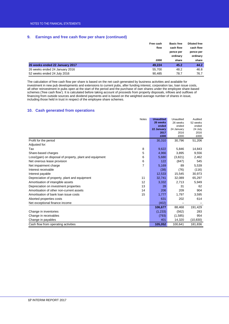## **9. Earnings and free cash flow per share (continued)**

|                                | Free cash | <b>Basic free</b> | <b>Diluted free</b> |
|--------------------------------|-----------|-------------------|---------------------|
|                                | flow      | cash flow         | cash flow           |
|                                |           | pence per         | pence per           |
|                                |           | ordinary          | ordinary            |
|                                | £000      | share             | share               |
| 26 weeks ended 22 January 2017 | 49.224    | 45.2              | 44.2                |
| 26 weeks ended 24 January 2016 | 55.700    | 48.2              | 46.8                |
| 52 weeks ended 24 July 2016    | 90,485    | 78.7              | 76.7                |

The calculation of free cash flow per share is based on the net cash generated by business activities and available for investment in new pub developments and extensions to current pubs, after funding interest, corporation tax, loan issue costs, all other reinvestment in pubs open at the start of the period and the purchase of own shares under the employee share-based schemes ('free cash flow'). It is calculated before taking account of proceeds from property disposals, inflows and outflows of financing from outside sources and dividend payments and is based on the weighted average number of shares in issue, including those held in trust in respect of the employee share schemes.

## **10. Cash generated from operations**

|                                                          | <b>Notes</b> | <b>Unaudited</b> | Unaudited    | Audited      |
|----------------------------------------------------------|--------------|------------------|--------------|--------------|
|                                                          |              | 26 weeks         | 26 weeks     | 52 weeks     |
|                                                          |              | ended            | ended        | ended        |
|                                                          |              | 22 January       | 24 January   | 24 July      |
|                                                          |              | 2017<br>£000     | 2016<br>£000 | 2016<br>£000 |
|                                                          |              |                  |              |              |
| Profit for the period                                    |              | 30,310           | 30,796       | 51,206       |
| Adjusted for:                                            |              |                  |              |              |
| Tax                                                      | 8            | 9,622            | 5,846        | 14,843       |
| Share-based charges                                      | 5            | 4,966            | 3,895        | 9,556        |
| Loss/(gain) on disposal of property, plant and equipment | 6            | 5,680            | (3,821)      | 2,462        |
| Net onerous lease provision                              | 6            | 122              | (847)        | 545          |
| Net impairment charge                                    | 7            | 5,169            | 89           | 5,539        |
| Interest receivable                                      |              | (38)             | (76)         | (116)        |
| Interest payable                                         |              | 12,533           | 15.545       | 30,973       |
| Depreciation of property, plant and equipment            | 11           | 32,741           | 32,089       | 65,297       |
| Amortisation of intangible assets                        | 12           | 3,332            | 2,713        | 5,949        |
| Depreciation on investment properties                    | 13           | 28               | 31           | 62           |
| Amortisation of other non-current assets                 | 14           | 206              | 209          | 904          |
| Amortisation of bank loan issue costs                    | 15           | 1,777            | 1,797        | 3,595        |
| Aborted properties costs                                 |              | 631              | 202          | 614          |
| Net exceptional finance income                           |              | (402)            |              |              |
|                                                          |              | 106,677          | 88,468       | 191,429      |
| Change in inventories                                    |              | (1,233)          | (562)        | 283          |
| Change in receivables                                    |              | (793)            | (1,585)      | 954          |
| Change in payables                                       |              | 401              | 14,320       | (10, 830)    |
| Cash flow from operating activities                      |              | 105,052          | 100,641      | 181,836      |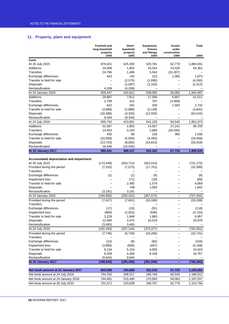## **11. Property, plant and equipment**

|                                          | <b>Freehold and</b><br>long-leasehold<br>property | Short-<br>leasehold<br>property | Equipment,<br>fixtures<br>and fittings | Assets<br>under<br>construction | <b>Total</b>     |
|------------------------------------------|---------------------------------------------------|---------------------------------|----------------------------------------|---------------------------------|------------------|
| Cost:                                    | £000                                              | £000                            | £000                                   | £000                            | £000             |
| At 26 July 2015                          | 876,021                                           | 425,350                         | 520,781                                | 62,779                          | 1,884,931        |
| <b>Additions</b>                         | 24,009                                            | 1,802                           | 15,024                                 | 23,526                          | 64,361           |
| Transfers                                | 24,766                                            | 1,498                           | 5,043                                  | (31, 307)                       |                  |
| Exchange differences                     | 443                                               | 142                             | 223                                    | 1,065                           | 1,873            |
| Transfer to held for sale                |                                                   | (2,575)                         | (1,690)                                |                                 | (4,265)          |
| Disposals                                |                                                   | (1,097)                         | (1,316)                                |                                 | (2, 413)         |
| Reclassification                         | 4,208                                             | (4,208)                         |                                        |                                 |                  |
| At 24 January 2016                       | 929,447                                           | 420,912                         | 538,065                                | 56,063                          | 1,944,487        |
| Additions                                | 29,887                                            | 7,811                           | 17,006                                 | 6,807                           | 61,511           |
| <b>Transfers</b>                         | 2,799                                             | 312                             | 797                                    | (3,908)                         |                  |
| Exchange differences                     | 622                                               | 201                             | 326                                    | 1,583                           | 2,732            |
| Transfer to held for sale                | (3,869)                                           | (1,889)                         | (2, 149)                               |                                 | (3,642)          |
| <b>Disposals</b>                         | (32, 488)                                         | (4,342)                         | (12,920)                               |                                 | (54, 015)        |
| Reclassification                         | 9,344                                             | (9, 344)                        |                                        |                                 |                  |
| At 24 July 2016                          | 935,742                                           | 413,661                         | 541,125                                | 60,545                          | 1,951,073        |
| Additions                                | 52,097                                            | 1,855                           | 14,507                                 | 27,241                          | 95,700           |
| Transfers                                | 14,403                                            | 3,163                           | 2,860                                  | (20, 426)                       |                  |
| Exchange differences                     | 435                                               | 80                              | 156                                    | 365                             | 1,036            |
| Transfer to held for sale                | (10,059)                                          | (5,004)                         | (4, 493)                               |                                 | (19, 556)        |
| Disposals                                | (13, 723)                                         | (8,082)                         | (10, 813)                              |                                 | (32, 618)        |
| Reclassification                         | 16,546                                            | (16, 546)                       |                                        |                                 |                  |
| At 22 January 2017                       | 995,441                                           | 389,127                         | 543,342                                | 67,725                          | 1,995,635        |
|                                          |                                                   |                                 |                                        |                                 |                  |
| Accumulated depreciation and impairment: |                                                   |                                 |                                        |                                 |                  |
| At 26 July 2015                          | (174, 449)                                        | (204, 712)                      | (352, 014)                             |                                 | (731, 175)       |
| Provided during the period               | (7, 315)                                          | (7,073)                         | (17, 701)                              |                                 | (32,089)         |
| Transfers                                |                                                   |                                 |                                        |                                 |                  |
| Exchange differences                     | (1)                                               | (1)                             | (6)                                    |                                 | (8)              |
| Impairment loss                          |                                                   | (71)                            | (18)                                   |                                 | (89)             |
| Transfer to held for sale                |                                                   | 2,495                           | 1,574                                  |                                 | 4,069            |
| <b>Disposals</b>                         |                                                   | 749                             | 1,093                                  |                                 | 1,842            |
| Reclassification                         | (3, 191)                                          | 3,191                           |                                        |                                 |                  |
| At 24 January 2016                       | (184, 956)                                        | (205, 422)                      | (367,072)                              | $\qquad \qquad -$               | (757, 450)       |
| Provided during the period               | (7, 427)                                          | (7,601)                         | (18, 180)                              |                                 | (33,208)         |
| <b>Transfers</b>                         |                                                   |                                 |                                        |                                 |                  |
| Exchange differences                     | (17)                                              | (10)                            | (91)                                   |                                 | (118)            |
| Impairment loss                          | (869)                                             | (2,915)                         | (936)                                  |                                 | (4, 720)         |
| Transfer to held for sale                | 3,228                                             | 1,846                           | 1,883                                  |                                 | 6,957            |
| Disposals                                | 12,484                                            | 3,475                           | 10,019                                 |                                 | 25,978           |
| Reclassification                         | (3, 483)                                          | 3,483                           |                                        |                                 |                  |
| At 24 July 2016                          | (181, 040)                                        | (207, 144)                      | (374, 377)                             | -                               | (762, 561)       |
| Provided during the period               | (7, 746)                                          | (6, 729)                        | (18, 266)                              |                                 | (32, 741)        |
| <b>Transfers</b>                         |                                                   |                                 |                                        |                                 |                  |
| Exchange differences                     | (13)                                              | (8)<br>(836)                    | (82)                                   |                                 | (103)            |
| Impairment loss                          | (3,885)                                           |                                 | (447)                                  |                                 | (5, 168)         |
| Transfer to held for sale<br>Disposals   | 6,134<br>6,259                                    | 5,234<br>4,400                  | 4,055<br>8,108                         |                                 | 15,423<br>18,767 |
| Reclassification                         | (9,644)                                           | 9,644                           |                                        |                                 |                  |
| At 22 January 2017                       | (189, 935)                                        | (195, 439)                      | (381,009)                              |                                 | (766, 383)       |
|                                          |                                                   |                                 |                                        |                                 |                  |
| Net book amount at 22 January 2017       | 805,506                                           | 193,688                         | 162,333                                | 67,725                          | 1,229,252        |
| Net book amount at 24 July 2016          | 754,702                                           | 206,517                         | 166,748                                | 60,545                          | 1,188,512        |
| Net book amount at 24 January 2016       | 744,491                                           | 215,490                         | 170,993                                | 56,063                          | 1,187,037        |
| Net book amount at 26 July 2015          | 701,572                                           | 220,638                         | 168,767                                | 62,779                          | 1,153,756        |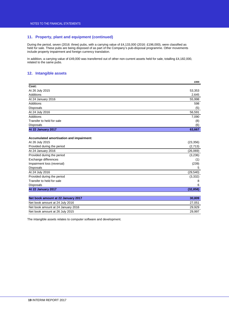## **11. Property, plant and equipment (continued)**

During the period, seven (2016: three) pubs, with a carrying value of £4,133,000 (2016: £196,000), were classified as held for sale. These pubs are being disposed of as part of the Company's pub-disposal programme. Other movements include property impairment and foreign currency translation.

In addition, a carrying value of £49,000 was transferred out of other non-current assets held for sale, totalling £4,182,000, related to the same pubs.

## **12. Intangible assets**

|                           | £000   |
|---------------------------|--------|
| Cost:                     |        |
| At 26 July 2015           | 53,353 |
| Additions                 | 2,645  |
| At 24 January 2016        | 55,998 |
| Additions                 | 598    |
| Disposals                 | (5)    |
| At 24 July 2016           | 56,591 |
| Additions                 | 7,090  |
| Transfer to held for sale | (8)    |
| Disposals                 | (6)    |
| At 22 January 2017        | 63,667 |
|                           |        |
|                           |        |

## **Accumulated amortisation and impairment:**

| At 22 January 2017         | (32, 858) |
|----------------------------|-----------|
| <b>Disposals</b>           | 6         |
| Transfer to held for sale  | 8         |
| Provided during the period | (3, 332)  |
| At 24 July 2016            | (29, 540) |
| <b>Disposals</b>           | 5         |
| Impairment loss (reversal) | (239)     |
| Exchange differences       | (1)       |
| Provided during the period | (3,236)   |
| At 24 January 2016         | (26,069)  |
| Provided during the period | (2,713)   |
| At 26 July 2015            | (23, 356) |

| Net book amount at 22 January 2017 | 30,809 |
|------------------------------------|--------|
| Net book amount at 24 July 2016    | 27.051 |
| Net book amount at 24 January 2016 | 29.929 |
| Net book amount at 26 July 2015    | 29.997 |

The intangible assets relates to computer software and development.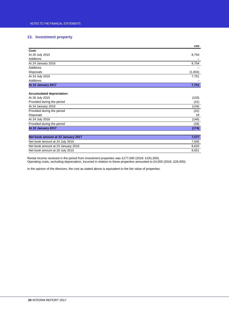## **13. Investment property**

|                    | £000    |
|--------------------|---------|
| Cost:              |         |
| At 26 July 2015    | 8,754   |
| Additions          |         |
| At 24 January 2016 | 8,754   |
| Additions          |         |
| Disposals          | (1,003) |
| At 24 July 2016    | 7,751   |
| Additions          |         |
| At 22 January 2017 | 7,751   |

## **Accumulated depreciation:**

| Not heal amazint at 22 January 2047 | フェフフ  |
|-------------------------------------|-------|
|                                     |       |
| At 22 January 2017                  | (174) |
| Provided during the period          | (28)  |
| At 24 July 2016                     | (146) |
| <b>Disposals</b>                    | 19    |
| Provided during the period          | (31)  |
| At 24 January 2016                  | (134) |
| Provided during the period          | (31)  |
| At 26 July 2015                     | (103) |

| Net book amount at 22 January 2017 | 7.577 |
|------------------------------------|-------|
| Net book amount at 24 July 2016    | 7.605 |
| Net book amount at 24 January 2016 | 8.620 |
| Net book amount at 26 July 2015    | 8.651 |

Rental income received in the period from investment properties was £177,000 (2016: £191,000). Operating costs, excluding depreciation, incurred in relation to these properties amounted to £4,000 (2016: £28,000).

In the opinion of the directors, the cost as stated above is equivalent to the fair value of properties.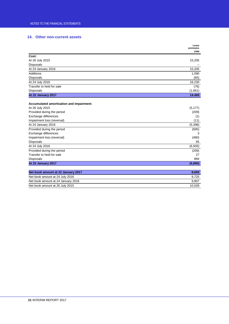## **14. Other non-current assets**

|                                          | Lease<br>premiums<br>£000 |
|------------------------------------------|---------------------------|
| Cost:                                    |                           |
| At 26 July 2015                          | 15,205                    |
| <b>Disposals</b>                         |                           |
| At 24 January 2016                       | 15,205                    |
| <b>Additions</b>                         | 1,090                     |
| <b>Disposals</b>                         | (65)                      |
| At 24 July 2016                          | 16,230                    |
| Transfer to held for sale                | (76)                      |
| <b>Disposals</b>                         | (1,661)                   |
| At 22 January 2017                       | 14,493                    |
| Accumulated amortisation and impairment: |                           |
| At 26 July 2015                          | (5, 177)                  |
| Provided during the period               | (209)                     |
| Exchange differences                     | (1)                       |
| Impairment loss (reversal)               | (11)                      |
| At 24 January 2016                       | (5, 398)                  |
| Provided during the period               | (695)                     |
| Exchange differences                     | 3                         |
| Impairment loss (reversal)               | (480)                     |
| <b>Disposals</b>                         | 65                        |
| At 24 July 2016                          | (6, 505)                  |
| Provided during the period               | (206)                     |
| Transfer to held for sale                | 27                        |
| Disposals                                | 884                       |
| At 22 January 2017                       | (5,800)                   |
|                                          |                           |
| Net book amount at 22 January 2017       | 8,693                     |
| Net book amount at 24 July 2016          | 9,725                     |
| Net book amount at 24 January 2016       | 9,807                     |
| Net book amount at 26 July 2015          | 10,028                    |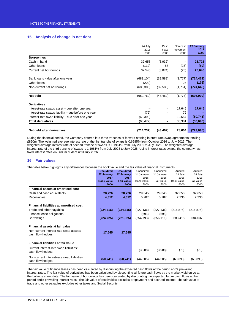## **15. Analysis of change in net debt**

|                                                     | 24 July    | Cash      | Non-cash | 22 January |
|-----------------------------------------------------|------------|-----------|----------|------------|
|                                                     | 2016       | flows     | movement | 2017       |
|                                                     | £000       | £000      | £000     | £000       |
| <b>Borrowings</b>                                   |            |           |          |            |
| Cash in hand                                        | 32,658     | (3,932)   |          | 28,726     |
| Other loans                                         | (112)      | 58        | (26)     | (80)       |
| Current net borrowings                              | 32,546     | (3,874)   | (26)     | 28,646     |
| Bank loans – due after one year                     | (683, 104) | (39, 588) | (1,777)  | (724, 469) |
| Other loans                                         | (202)      |           | 26       | (176)      |
| Non-current net borrowings                          | (683, 306) | (39, 588) | (1,751)  | (724, 645) |
| Net debt                                            | (650, 760) | (43, 462) | (1,777)  | (695, 999) |
| <b>Derivatives</b>                                  |            |           |          |            |
| Interest-rate swaps asset – due after one year      |            |           | 17,645   | 17,645     |
| Interest-rate swaps liability – due before one year | (79)       |           | 79       |            |
| Interest-rate swap liability – due after one year   | (63, 398)  | -         | 12,657   | (50, 741)  |
| <b>Total derivatives</b>                            | (63,477)   |           | 30,381   | (33,096)   |
|                                                     |            |           |          |            |
| Net debt after derivatives                          | (714, 237) | (43, 462) | 28,604   | (729,095)  |

During the financial period, the Company entered into three tranches of forward-starting interest-rate swap agreements totalling £850m. The weighted average interest rate of the first tranche of swaps is 0.6585% from October 2016 to July 2026. The weighted average interest rate of second tranche of swaps is 1.1961% from July 2021 to July 2026. The weighted average interest rate of the third tranche of swaps is 1.1961% from July 2023 to July 2026. Using interest rates swaps, the company has fixed interest rates on £600m of debt until July 2026.

## **16. Fair values**

The table below highlights any differences between the book value and the fair value of financial instruments.

|                                                                                                                              | <b>Unaudited</b><br>22 January<br>2017<br><b>Book value</b><br>£000 | <b>Unaudited</b><br>22 January<br>2017<br><b>Fair value</b><br>£000 | Unaudited<br>24 January<br>2016<br>Book value<br>£000 | Unaudited<br>24 January<br>2016<br>Fair value<br>£000 | Audited<br>24 July<br>2016<br>Book value<br>£000 | Audited<br>24 July<br>2016<br>Fair value<br>£000 |
|------------------------------------------------------------------------------------------------------------------------------|---------------------------------------------------------------------|---------------------------------------------------------------------|-------------------------------------------------------|-------------------------------------------------------|--------------------------------------------------|--------------------------------------------------|
| Financial assets at amortised cost                                                                                           |                                                                     |                                                                     |                                                       |                                                       |                                                  |                                                  |
| Cash and cash equivalents                                                                                                    | 28,726                                                              | 28,726                                                              | 29,345                                                | 29,345                                                | 32,658                                           | 32,658                                           |
| <b>Receivables</b>                                                                                                           | 4,312                                                               | 4,312                                                               | 5,287                                                 | 5,287                                                 | 2,236                                            | 2,236                                            |
| <b>Financial liabilities at amortised cost</b><br>Trade and other payables<br>Finance lease obligations<br><b>Borrowings</b> | (224, 316)<br>(724, 725)                                            | (224, 316)<br>(721, 025)                                            | (227, 136)<br>(695)<br>(654, 793)                     | (227, 136)<br>(695)<br>(656, 111)                     | (216, 875)<br>683,418                            | (216, 875)<br>684,037                            |
| Financial assets at fair value<br>Non-current interest-rate swap assets:<br>cash flow hedges                                 | 17,645                                                              | 17,645                                                              |                                                       |                                                       |                                                  |                                                  |
| Financial liabilities at fair value                                                                                          |                                                                     |                                                                     |                                                       |                                                       |                                                  |                                                  |
| Current interest-rate swap liabilities:<br>cash flow hedges                                                                  |                                                                     |                                                                     | (3,988)                                               | (3,988)                                               | (79)                                             | (79)                                             |
| Non-current interest-rate swap liabilities:<br>cash flow hedges                                                              | (50, 741)                                                           | (50, 741)                                                           | (44, 505)                                             | (44, 505)                                             | (63, 398)                                        | (63, 398)                                        |

The fair value of finance leases has been calculated by discounting the expected cash flows at the period end's prevailing interest rates. The fair value of derivatives has been calculated by discounting all future cash flows by the market yield curve at the balance sheet date. The fair value of borrowings has been calculated by discounting the expected future cash flows at the period end's prevailing interest rates. The fair value of receivables excludes prepayment and accrued income. The fair value of trade and other payables excludes other taxes and Social Security.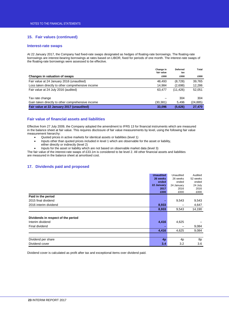## **15. Fair values (continued)**

## **Interest-rate swaps**

At 22 January 2017, the Company had fixed-rate swaps designated as hedges of floating-rate borrowings. The floating-rate borrowings are interest-bearing borrowings at rates based on LIBOR, fixed for periods of one month. The interest-rate swaps of the floating-rate borrowings were assessed to be effective.

|                                                   | Change in<br>fair value | <b>Deferred</b><br>tax | Total     |
|---------------------------------------------------|-------------------------|------------------------|-----------|
| Changes in valuation of swaps                     | £000                    | £000                   | £000      |
| Fair value at 24 January 2016 (unaudited)         | 48.493                  | (8,728)                | 39.765    |
| Loss taken directly to other comprehensive income | 14,984                  | (2,698)                | 12,286    |
| Fair value at 24 July 2016 (audited)              | 63.477                  | (11, 426)              | 52,051    |
| Tax rate change                                   |                         | 304                    | 304       |
| Gain taken directly to other comprehensive income | (30, 381)               | 5.496                  | (24, 885) |
| Fair value at 22 January 2017 (unaudited)         | 33.096                  | (5,626)                | 27,470    |

## **Fair value of financial assets and liabilities**

Effective from 27 July 2009, the Company adopted the amendment to IFRS 13 for financial instruments which are measured in the balance sheet at fair value. This requires disclosure of fair value measurements by level, using the following fair value measurement hierarchy:

- Quoted prices in active markets for identical assets or liabilities (level 1)
- Inputs other than quoted prices included in level 1 which are observable for the asset or liability, either directly or indirectly (level 2)
- Inputs for the asset or liability which are not based on observable market data (level 3)

The fair value of the interest-rate swaps of £33.1m is considered to be level 2. All other financial assets and liabilities are measured in the balance sheet at amortised cost.

## **17. Dividends paid and proposed**

|                                    | <b>Unaudited</b> | Unaudited      | Audited  |
|------------------------------------|------------------|----------------|----------|
|                                    | 26 weeks         | 26 weeks       | 52 weeks |
|                                    | ended            | ended          | ended    |
|                                    | 22 January       | 24 January     | 24 July  |
|                                    | 2017             | 2016           | 2016     |
|                                    | £000             | £000           | £000     |
| Paid in the period                 |                  |                |          |
| 2015 final dividend                |                  | 9,543          | 9,543    |
| 2016 interim dividend              | 8,933            |                | 4,647    |
|                                    | 8,933            | 9,543          | 14,190   |
|                                    |                  |                |          |
| Dividends in respect of the period |                  |                |          |
| Interim dividend                   | 4,416            | 4,625          |          |
| Final dividend                     |                  |                | 9,084    |
|                                    | 4,416            | 4,625          | 9,084    |
|                                    |                  |                |          |
| Dividend per share                 | 4 <sub>p</sub>   | 4 <sub>p</sub> | 8p       |
| Dividend cover                     | 3.4              | 3.2            | 3.6      |

Dividend cover is calculated as profit after tax and exceptional items over dividend paid.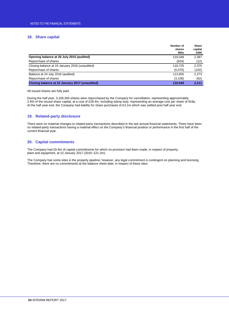## **18. Share capital**

|                                                | Number of<br>shares<br>000s | Share<br>capital<br>£000 |
|------------------------------------------------|-----------------------------|--------------------------|
| Opening balance at 26 July 2015 (audited)      | 119,349                     | 2,387                    |
| Repurchase of shares                           | (624)                       | (12)                     |
| Closing balance at 24 January 2016 (unaudited) | 118.725                     | 2,375                    |
| Repurchase of shares                           | (5,070)                     | (102)                    |
| Balance at 24 July 2016 (audited)              | 113,655                     | 2,273                    |
| Repurchase of shares                           | (3, 106)                    | (62)                     |
| Closing balance at 22 January 2017 (unaudited) | 110.549                     | 2,211                    |

All issued shares are fully paid.

During the half year, 3,106,300 shares were repurchased by the Company for cancellation, representing approximately 2.8% of the issued share capital, at a cost of £28.4m, including stamp duty, representing an average cost per share of 916p. At the half year end, the Company had liability for share purchases of £3.1m which was settled post half year end.

## **19. Related-party disclosure**

There were no material changes to related-party transactions described in the last annual financial statements. There have been no related-party transactions having a material effect on the Company's financial position or performance in the first half of the current financial year.

## **20. Capital commitments**

The Company had £5.6m of capital commitments for which no provision had been made, in respect of property, plant and equipment, at 22 January 2017 (2016: £21.2m).

The Company has some sites in the property pipeline; however, any legal commitment is contingent on planning and licensing. Therefore, there are no commitments at the balance sheet date, in respect of these sites.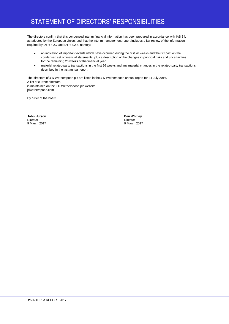## STATEMENT OF DIRECTORS' RESPONSIBILITIES

The directors confirm that this condensed interim financial information has been prepared in accordance with IAS 34, as adopted by the European Union, and that the interim management report includes a fair review of the information required by DTR 4.2.7 and DTR 4.2.8, namely:

- an indication of important events which have occurred during the first 26 weeks and their impact on the condensed set of financial statements, plus a description of the changes in principal risks and uncertainties for the remaining 26 weeks of the financial year.
- material related-party transactions in the first 26 weeks and any material changes in the related-party transactions described in the last annual report.

The directors of J D Wetherspoon plc are listed in the J D Wetherspoon annual report for 24 July 2016. A list of current directors is maintained on the J D Wetherspoon plc website: jdwetherspoon.com

By order of the board

**John Hutson Ben Whitley**<br> **Director**<br> **Director** Director Director 9 March 2017 9 March 2017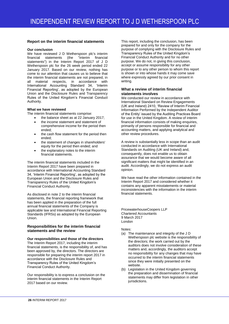## **Report on the interim financial statements**

## **Our conclusion**

We have reviewed J D Wetherspoon plc's interim<br>financial statements (the "interim financial financial statements (the "interim financial statements") in the Interim Report 2017 of J D Wetherspoon plc for the 26 week period ended 22 January 2017. Based on our review, nothing has come to our attention that causes us to believe that the interim financial statements are not prepared, in all material respects, in accordance with International Accounting Standard 34, 'Interim Financial Reporting', as adopted by the European Union and the Disclosure Rules and Transparency Rules of the United Kingdom's Financial Conduct Authority.

## **What we have reviewed**

The interim financial statements comprise:

- the balance sheet as at 22 January 2017;
- the income statement and statement of comprehensive income for the period then ended;
- the cash flow statement for the period then ended;
- the statement of changes in shareholders' equity for the period then ended; and
- the explanatory notes to the interim financial statements.

The interim financial statements included in the Interim Report 2017 have been prepared in accordance with International Accounting Standard 34, 'Interim Financial Reporting', as adopted by the European Union and the Disclosure Rules and Transparency Rules of the United Kingdom's Financial Conduct Authority.

As disclosed in note 2 to the interim financial statements, the financial reporting framework that has been applied in the preparation of the full annual financial statements of the Company is applicable law and International Financial Reporting Standards (IFRSs) as adopted by the European Union.

## **Responsibilities for the interim financial statements and the review**

**Our responsibilities and those of the directors** The Interim Report 2017, including the interim financial statements, is the responsibility of, and has been approved by, the directors. The directors are responsible for preparing the interim report 2017 in accordance with the Disclosure Rules and Transparency Rules of the United Kingdom's Financial Conduct Authority.

Our responsibility is to express a conclusion on the interim financial statements in the Interim Report 2017 based on our review.

This report, including the conclusion, has been prepared for and only for the company for the purpose of complying with the Disclosure Rules and Transparency Rules of the United Kingdom's Financial Conduct Authority and for no other purpose. We do not, in giving this conclusion, accept or assume responsibility for any other purpose or to any other person to whom this report is shown or into whose hands it may come save where expressly agreed by our prior consent in writing.

## **What a review of interim financial statements involves**

We conducted our review in accordance with International Standard on Review Engagements (UK and Ireland) 2410, 'Review of Interim Financial Information Performed by the Independent Auditor of the Entity' issued by the Auditing Practices Board for use in the United Kingdom. A review of interim financial information consists of making enquiries, primarily of persons responsible for financial and accounting matters, and applying analytical and other review procedures.

A review is substantially less in scope than an audit conducted in accordance with International Standards on Auditing (UK and Ireland) and, consequently, does not enable us to obtain assurance that we would become aware of all significant matters that might be identified in an audit. Accordingly, we do not express an audit opinion.

We have read the other information contained in the Interim Report 2017 and considered whether it contains any apparent misstatements or material inconsistencies with the information in the interim financial statements.

PricewaterhouseCoopers LLP Chartered Accountants 9 March 2017 London

Notes:

- (a) The maintenance and integrity of the J D Wetherspoon plc website is the responsibility of the directors; the work carried out by the auditors does not involve consideration of these matters and, accordingly, the auditors accept no responsibility for any changes that may have occurred to the interim financial statements since they were initially presented on the website.
- (b) Legislation in the United Kingdom governing the preparation and dissemination of financial statements may differ from legislation in other jurisdictions.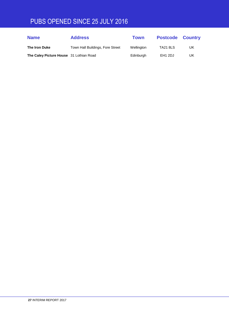## PUBS OPENED SINCE 25 JULY 2016

| <b>Name</b>                             | <b>Address</b>                   | Town       | <b>Postcode Country</b> |    |
|-----------------------------------------|----------------------------------|------------|-------------------------|----|
| The Iron Duke                           | Town Hall Buildings, Fore Street | Wellington | <b>TA21 8LS</b>         | UK |
| The Caley Picture House 31 Lothian Road |                                  | Edinburgh  | EH <sub>1</sub> 2DJ     | UK |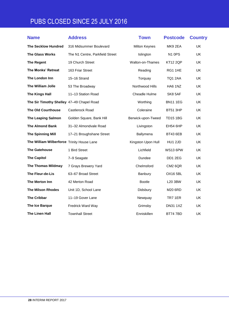## PUBS CLOSED SINCE 25 JULY 2016

| <b>Name</b>                                | <b>Address</b>                  | <b>Town</b>        | <b>Postcode</b> | <b>Country</b> |
|--------------------------------------------|---------------------------------|--------------------|-----------------|----------------|
| <b>The Secklow Hundred</b>                 | 316 Midsummer Boulevard         | Milton Keynes      | MK9 2EA         | <b>UK</b>      |
| <b>The Glass Works</b>                     | The N1 Centre, Parkfield Street | Islington          | <b>N1 0PS</b>   | <b>UK</b>      |
| <b>The Regent</b>                          | 19 Church Street                | Walton-on-Thames   | <b>KT12 2QP</b> | UK             |
| The Monks' Retreat                         | 163 Friar Street                | Reading            | RG1 1HE         | <b>UK</b>      |
| The London Inn                             | 15-16 Strand                    | Torquay            | TQ1 2AA         | <b>UK</b>      |
| The William Jolle                          | 53 The Broadway                 | Northwood Hills    | HA6 1NZ         | <b>UK</b>      |
| <b>The Kings Hall</b>                      | 11-13 Station Road              | Cheadle Hulme      | SK8 5AF         | UK             |
| The Sir Timothy Shelley 47-49 Chapel Road  |                                 | Worthing           | <b>BN11 1EG</b> | <b>UK</b>      |
| <b>The Old Courthouse</b>                  | Castlerock Road                 | Coleraine          | <b>BT51 3HP</b> | <b>UK</b>      |
| <b>The Leaping Salmon</b>                  | Golden Square, Bank Hill        | Berwick-upon-Tweed | <b>TD15 1BG</b> | UK             |
| <b>The Almond Bank</b>                     | 31-32 Almondvale Road           | Livingston         | <b>EH54 6HP</b> | <b>UK</b>      |
| <b>The Spinning Mill</b>                   | 17-21 Broughshane Street        | Ballymena          | <b>BT43 6EB</b> | UK             |
| The William Wilberforce Trinity House Lane |                                 | Kingston Upon Hull | <b>HU1 2JD</b>  | UK             |
| <b>The Gatehouse</b>                       | 1 Bird Street                   | Lichfield          | <b>WS13 6PW</b> | UK             |
| <b>The Capitol</b>                         | 7-9 Seagate                     | Dundee             | DD1 2EG         | UK             |
| <b>The Thomas Mildmay</b>                  | 7 Grays Brewery Yard            | Chelmsford         | CM2 6QR         | UK             |
| The Fleur-de-Lis                           | 63-67 Broad Street              | Banbury            | OX16 5BL        | <b>UK</b>      |
| The Merton Inn                             | 42 Merton Road                  | <b>Bootle</b>      | L20 3BW         | UK             |
| <b>The Milson Rhodes</b>                   | Unit 1D, School Lane            | Didsbury           | M20 6RD         | <b>UK</b>      |
| <b>The Cribbar</b>                         | 11-19 Gover Lane                | Newquay            | TR7 1ER         | <b>UK</b>      |
| The Ice Barque                             | Fredrick Ward Way               | Grimsby            | <b>DN31 1XZ</b> | <b>UK</b>      |
| The Linen Hall                             | <b>Townhall Street</b>          | Enniskillen        | <b>BT747BD</b>  | <b>UK</b>      |